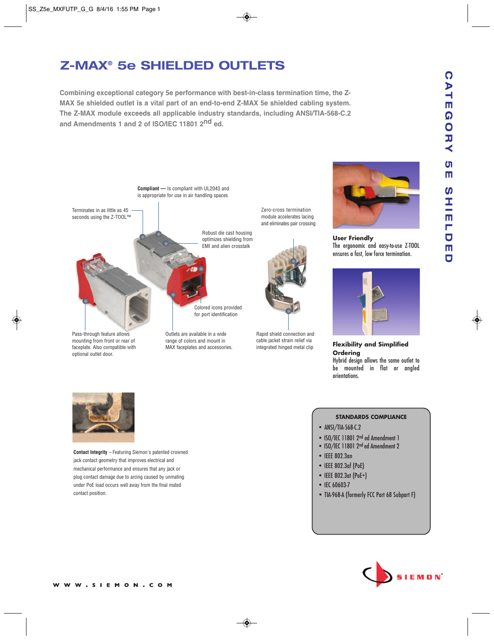## $\Omega$ **CATEGORY 5E SHIELDED**  $\overline{A}$ m  $\Omega$ OHV ហ m  $\boldsymbol{\omega}$ ご<br>エー<br><br><br><br><br><br><br><br><br><br><br><br> Ē  $\overline{\mathbf{C}}$  $\overline{\mathbf{u}}$  $\overline{\mathbf{u}}$

# **Z-MAX® 5e SHIELDED OUTLETS**

**Combining exceptional category 5e performance with best-in-class termination time, the Z-MAX 5e shielded outlet is a vital part of an end-to-end Z-MAX 5e shielded cabling system. The Z-MAX module exceeds all applicable industry standards, including ANSI/TIA-568-C.2 and Amendments 1 and 2 of ISO/IEC 11801 2nd ed.**





**User Friendly** The ergonomic and easy-to-use Z-TOOL ensures a fast, low force termination.



**Flexibility and Simplified Ordering** Hybrid design allows the same outlet to be mounted in flat or angled orientations.



**Contact Integrity** – Featuring Siemon's patented crowned jack contact geometry that improves electrical and mechanical performance and ensures that any jack or plug contact damage due to arcing caused by unmating under PoE load occurs well away from the final mated contact position.

#### **STANDARDS COMPLIANCE**

- ANSI/TIA-568-C.2
- ISO/IEC 11801 2nd ed Amendment 1
- ISO/IEC 11801 2nd ed Amendment 2
- IEEE 802.3an
- IEEE 802.3af (PoE)
- IEEE 802.3at (PoE+)
- IEC 60603-7
- TIA-968-A (formerly FCC Part 68 Subpart F)